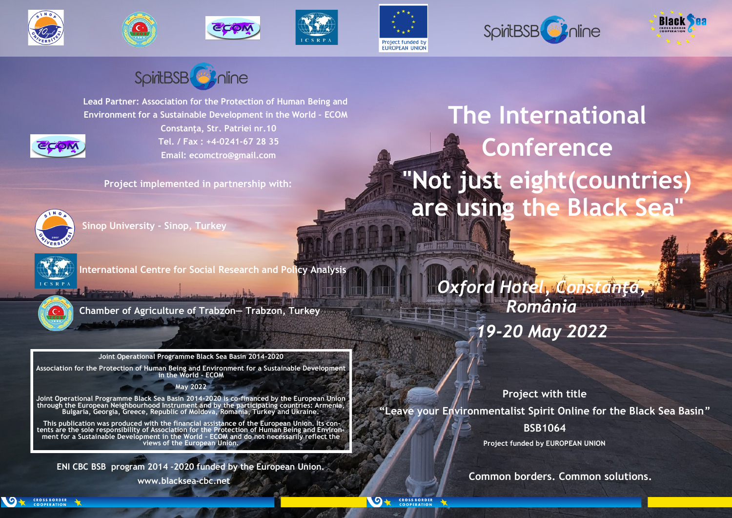







**CROSS BORDER** 

 $\bullet$ 





 $\mathbf{u}$   $\mathbf{r}$ 

SpiritBSB<sup>O</sup>C2nline

**Lead Partner: Association for the Protection of Human Being and Environment for a Sustainable Development in the World – ECOM**



**Constanţa, Str. Patriei nr.10 Tel. / Fax : +4-0241-67 28 35 Email: ecomctro@gmail.com**

**Project implemented in partnership with:**



**Sinop University - Sinop, Turkey**



**International Centre for Social Research and Policy Analysis** 



**CROSSBORDER** 

**Chamber of Agriculture of Trabzon— Trabzon, Turkey** 

#### **Joint Operational Programme Black Sea Basin 2014-2020**

**Association for the Protection of Human Being and Environment for a Sustainable Development in the World – ECOM**

#### **May 2022**

Joint Operational Programme Black Sea Basin 2014-2020 is co-financed by the European Union<br>through the European Neighbourhood Instrument and by the participating countries: Armenia,<br>Bulgaria, Georgia, Greece, Republic of M

**This publication was produced with the financial assistance of the European Union. Its contents are the sole responsibility of Association for the Protection of Human Being and Environment for a Sustainable Development in the World – ECOM and do not necessarily reflect the views of the European Union.**

**ENI CBC BSB program 2014 -2020 funded by the European Union.**

**www.blacksea-cbc.net**

**The International Conference "Not just eight(countries) are using the Black Sea"**

> *Oxford Hotel, Constanţa, România 19-20 May 2022*

**Project with title "Leave your Environmentalist Spirit Online for the Black Sea Basin" BSB1064** 

**Project funded by EUROPEAN UNION**

 **Common borders. Common solutions.**